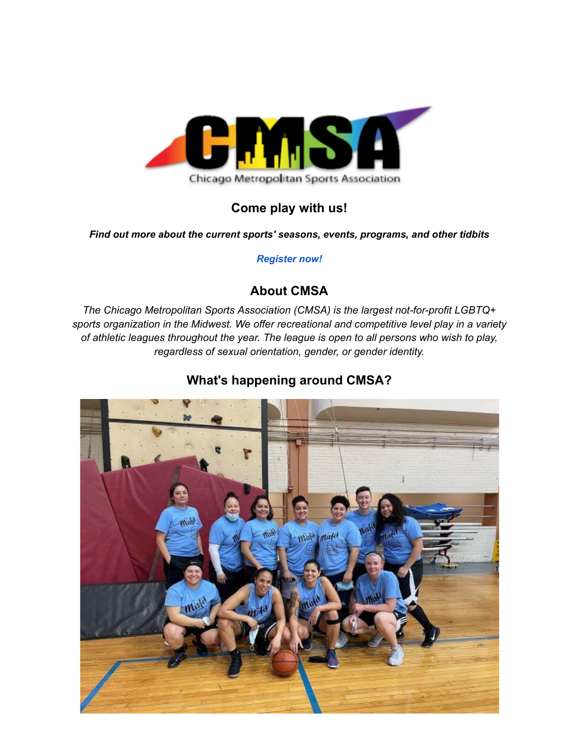

### **Come play with us!**

*Find out more about the current sports' seasons, events, programs, and other tidbits*

#### *[Register now!](http://mail.leagueapps.com/ls/click?upn=razK1EBwKkOHk0htZlyWnNGkAaV0bTHRdawoEqbAGO0lISIem9SRRYi1Jgqc9QZcOLqi_GptQX16N64WwKT5la58D1o53JZtVOKau-2Funfl11YtMSzjneJ9njScjouj-2F8KtHmMtypc-2B5lfpzYwl0-2BRYD-2FAsSgRYxV80H8cwHhHY53tkggAY126NAiDxmZtCESB4EpkS93MSo2mpmAP0UJpGKLatRP6uZi-2Fg9xY24he-2BZDHcOSvRevT1PfUEZ3RRp3VeTJfuAua6om5Gai1GLeiGVagr2AP1PBDgCTHdbzXcVObeHEKthxy3i5cBceYCey6iTGrjNEuMwL-2FUiQbFgTPkpmsok-2BFV33bZY-2FHrLyqZNzUzkYOkvYjS-2Fns0Hx6v2XOhd-2BaU9IK0EL1B80U8I1uCO1Os2EUZkZdBLIc82HXBOUq9HZuGlMhWEivJ-2FwuXn8qUWKBabP3v7-2F9U8V2IlD1DVDLy7NOgDf25d2lcqtvRHK-2FzyBRNCDDYjbwfiHOgbxxyFsozShG5JQK6GlLCjzs8rwdZiJ1L1kDPfi1QTy7tTsQO14bBfU1-2F8JMNhTUfNTtDgIvupJKICcE8NDeMDmEaeiNXC-2F4XD1LSV8LHtQJJbzjV1E-3D)*

### **About CMSA**

*The Chicago Metropolitan Sports Association (CMSA) is the largest not-for-profit LGBTQ+ sports organization in the Midwest. We offer recreational and competitive level play in a variety of athletic leagues throughout the year. The league is open to all persons who wish to play, regardless of sexual orientation, gender, or gender identity.*

## **What's happening around CMSA?**

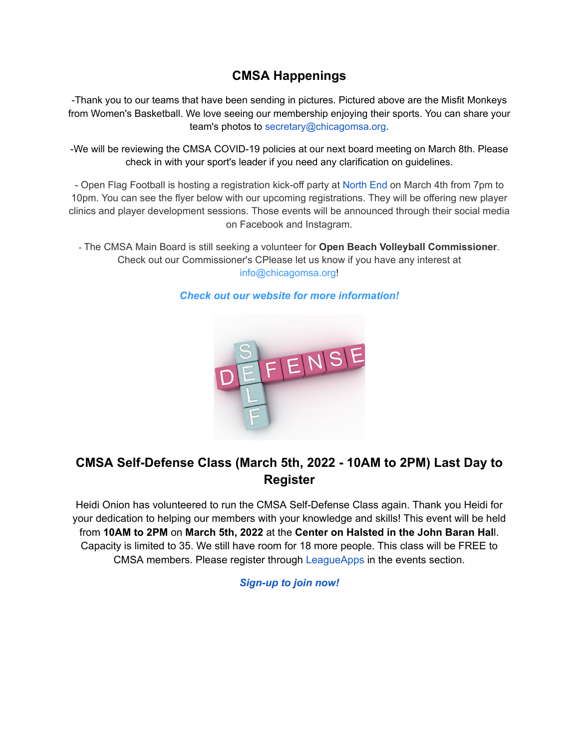## **CMSA Happenings**

-Thank you to our teams that have been sending in pictures. Pictured above are the Misfit Monkeys from Women's Basketball. We love seeing our membership enjoying their sports. You can share your team's photos to secretary@chicagomsa.org.

-We will be reviewing the CMSA COVID-19 policies at our next board meeting on March 8th. Please check in with your sport's leader if you need any clarification on guidelines.

- Open Flag Football is hosting a registration kick-off party at [North End](http://mail.leagueapps.com/ls/click?upn=dMGYHcAX8vlwhcEtOa7-2Bqq2iW9Ki3rzSbawrGYMeR0RhrnLRoRQFseTpAMnJiEMPfKgi_GptQX16N64WwKT5la58D1o53JZtVOKau-2Funfl11YtMSzjneJ9njScjouj-2F8KtHmMtypc-2B5lfpzYwl0-2BRYD-2FAsSgRYxV80H8cwHhHY53tkggAY126NAiDxmZtCESB4EpkS93MSo2mpmAP0UJpGKLatRP6uZi-2Fg9xY24he-2BZDHcOSvRevT1PfUEZ3RRp3VeTJfuAua6om5Gai1GLeiGVagr2AP1PBDgCTHdbzXcVObeHEKthxy3i5cBceYCey6iTGrjNEuMwL-2FUiQbFgTPkpmsok-2BFV33bZY-2FHrLyqZNzUzkYOkvYjS-2Fns0Hx6v2XOhd-2BaU9IK0EL1B80U8I1uCO1Os4M2jTd-2BfcARGvi2ZHrpCZzXMLEMXlCAOneyb3t-2FeTyzlAZS3a0f8A2NAvXvQwNL1led058A-2Fcs2R-2Bi5TgIADSANj51r-2Fpa6dB-2F-2FO7c44ZbFzEfYAgKLRtaAWzTc9XoIMxgm80vUZ-2B7Kvh6b0X4KNg9N47geLp6Qsa-2BXDBTW-2BhjHeACjgGS0v6G7eEiW-2FTcCMVR2fUdBqage98WU7TJdglo-3D) on March 4th from 7pm to 10pm. You can see the flyer below with our upcoming registrations. They will be offering new player clinics and player development sessions. Those events will be announced through their social media on Facebook and Instagram.

- The CMSA Main Board is still seeking a volunteer for **Open Beach Volleyball Commissioner**. Check out our Commissioner's CPlease let us know if you have any interest at info@chicagomsa.org!

#### *Check out our website for more [information!](http://mail.leagueapps.com/ls/click?upn=razK1EBwKkOHk0htZlyWnLwkqCAlxAzs8hYoJDaNP1c-3D1MNC_GptQX16N64WwKT5la58D1o53JZtVOKau-2Funfl11YtMSzjneJ9njScjouj-2F8KtHmMtypc-2B5lfpzYwl0-2BRYD-2FAsSgRYxV80H8cwHhHY53tkggAY126NAiDxmZtCESB4EpkS93MSo2mpmAP0UJpGKLatRP6uZi-2Fg9xY24he-2BZDHcOSvRevT1PfUEZ3RRp3VeTJfuAua6om5Gai1GLeiGVagr2AP1PBDgCTHdbzXcVObeHEKthxy3i5cBceYCey6iTGrjNEuMwL-2FUiQbFgTPkpmsok-2BFV33bZY-2FHrLyqZNzUzkYOkvYjS-2Fns0Hx6v2XOhd-2BaU9IK0EL1B80U8I1uCO1Os8Q-2BzU3-2BmfelqR79lQ6H9Qc-2FDj1X03-2BnmyDLCPpQjtUhQjer5pmK2dH1XOhqCO9qEkX6jW0unnu-2Bu3MngDBICglMFx5O5Mu0YxKaeMoSqzZUJiwumZjDyE98EK450o44QASDg7dcnrfWxjrPJmHKZGYAb3-2B57xTswLY8Of6rkTmjRXho4UBeTEIQk5iKmwUvJS-2FiNSw4a5nvX-2B-2BGGhYTh94-3D)*



## **CMSA Self-Defense Class (March 5th, 2022 - 10AM to 2PM) Last Day to Register**

Heidi Onion has volunteered to run the CMSA Self-Defense Class again. Thank you Heidi for your dedication to helping our members with your knowledge and skills! This event will be held from **10AM to 2PM** on **March 5th, 2022** at the **Center on Halsted in the John Baran Hal**l. Capacity is limited to 35. We still have room for 18 more people. This class will be FREE to CMSA members. Please register through [LeagueApps](http://mail.leagueapps.com/ls/click?upn=razK1EBwKkOHk0htZlyWnNGkAaV0bTHRdawoEqbAGO13q91WSMhOw7U-2FmOSY9ZTmKGu1cCWoM9kN-2BiAbKr-2B-2FeAI-2FZ0tiNe9XZMZewLfYpPOTkX1nYR-2BGx-2FXSOiARuHC1t50k_GptQX16N64WwKT5la58D1o53JZtVOKau-2Funfl11YtMSzjneJ9njScjouj-2F8KtHmMtypc-2B5lfpzYwl0-2BRYD-2FAsSgRYxV80H8cwHhHY53tkggAY126NAiDxmZtCESB4EpkS93MSo2mpmAP0UJpGKLatRP6uZi-2Fg9xY24he-2BZDHcOSvRevT1PfUEZ3RRp3VeTJfuAua6om5Gai1GLeiGVagr2AP1PBDgCTHdbzXcVObeHEKthxy3i5cBceYCey6iTGrjNEuMwL-2FUiQbFgTPkpmsok-2BFV33bZY-2FHrLyqZNzUzkYOkvYjS-2Fns0Hx6v2XOhd-2BaU9IK0EL1B80U8I1uCO1Os3l20iavU1DGVn33BRw1lE9lqR4Z8xw-2BspwohtAY7Q-2F47KfJ-2F1tkalqdBnGzv5ZlOKbqRD1xZckwLH9lqeqzgslcNCyDUU6xjQ0uwj6n5L3cQfq2piVCYvSnhRbzcfGbiTMQnQeQ1zK-2BTCzyuI4ybZwenglp2Q7XJdcHBClfHZnFJOUQt3k9SRoYSLSRQgVv3BQ6p0C0Na7NZUmfkhjQass-3D) in the events section.

*[Sign-up](http://mail.leagueapps.com/ls/click?upn=razK1EBwKkOHk0htZlyWnNGkAaV0bTHRdawoEqbAGO13q91WSMhOw7U-2FmOSY9ZTmKGu1cCWoM9kN-2BiAbKr-2B-2FeAI-2FZ0tiNe9XZMZewLfYpPOTkX1nYR-2BGx-2FXSOiARuHC1co01_GptQX16N64WwKT5la58D1o53JZtVOKau-2Funfl11YtMSzjneJ9njScjouj-2F8KtHmMtypc-2B5lfpzYwl0-2BRYD-2FAsSgRYxV80H8cwHhHY53tkggAY126NAiDxmZtCESB4EpkS93MSo2mpmAP0UJpGKLatRP6uZi-2Fg9xY24he-2BZDHcOSvRevT1PfUEZ3RRp3VeTJfuAua6om5Gai1GLeiGVagr2AP1PBDgCTHdbzXcVObeHEKthxy3i5cBceYCey6iTGrjNEuMwL-2FUiQbFgTPkpmsok-2BFV33bZY-2FHrLyqZNzUzkYOkvYjS-2Fns0Hx6v2XOhd-2BaU9IK0EL1B80U8I1uCO1Osxe-2F8-2BRnTSn0dd286nZ0ZCLabHsS5bg3PI5cBNlq5XX3FPZqvMIE-2BomgKRnY7AfKgOojUE-2B82I2IUHT9axxFzTBQtFzl3ViEQ5HtQowoTO5biuWZgZhOBcaDVquJ8Acy4crQFZugvzdMIfSvnMlQq-2F5zOic98O8BDI9jqk49YZHFHtCJ6cKAtyS8hlbi3RGojbvEXzDE-2BPqbYu77Kqd7Ht0-3D) to join now!*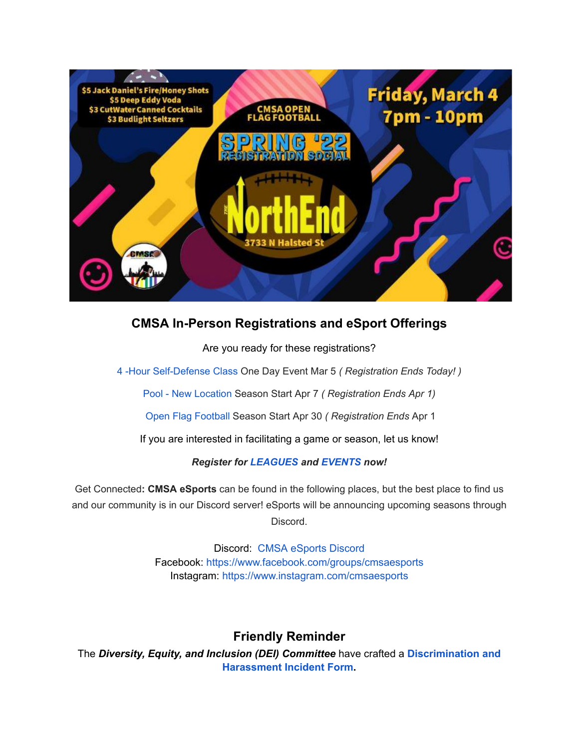

## **CMSA In-Person Registrations and eSport Offerings**

Are you ready for these registrations?

[4 -Hour Self-Defense Class](http://mail.leagueapps.com/ls/click?upn=razK1EBwKkOHk0htZlyWnNGkAaV0bTHRdawoEqbAGO13q91WSMhOw7U-2FmOSY9ZTmKGu1cCWoM9kN-2BiAbKr-2B-2FeAI-2FZ0tiNe9XZMZewLfYpPOTkX1nYR-2BGx-2FXSOiARuHC1MgSy_GptQX16N64WwKT5la58D1o53JZtVOKau-2Funfl11YtMSzjneJ9njScjouj-2F8KtHmMtypc-2B5lfpzYwl0-2BRYD-2FAsSgRYxV80H8cwHhHY53tkggAY126NAiDxmZtCESB4EpkS93MSo2mpmAP0UJpGKLatRP6uZi-2Fg9xY24he-2BZDHcOSvRevT1PfUEZ3RRp3VeTJfuAua6om5Gai1GLeiGVagr2AP1PBDgCTHdbzXcVObeHEKthxy3i5cBceYCey6iTGrjNEuMwL-2FUiQbFgTPkpmsok-2BFV33bZY-2FHrLyqZNzUzkYOkvYjS-2Fns0Hx6v2XOhd-2BaU9IK0EL1B80U8I1uCO1OswHJkvbn8MjBKHwwp818rEaNsZvbW0Fge0lKgR-2BxTXl8HCgMoCokIfKxsrECczT1mGSfNMr75pJccxrqkALJ19kvdDgzLmbFc7v0Mydl2gLeDEiwTWo2LDiWark3IkOSewfMtiEl3o6GLE1M02mOBBVz-2BxdaiX0xoIwVK8YA9ey5laQBdut91dVAVKGDPaYSb0YU2WPFkOomLCttRVtIsVk-3D) One Day Event Mar 5 *( Registration Ends Today! )*

[Pool - New Location](http://mail.leagueapps.com/ls/click?upn=razK1EBwKkOHk0htZlyWnNGkAaV0bTHRdawoEqbAGO2tQIoQKsAtXIzVgi7HivYfOmpJO0czNPTey2zL6p4Fmw-3D-3DM_Nw_GptQX16N64WwKT5la58D1o53JZtVOKau-2Funfl11YtMSzjneJ9njScjouj-2F8KtHmMtypc-2B5lfpzYwl0-2BRYD-2FAsSgRYxV80H8cwHhHY53tkggAY126NAiDxmZtCESB4EpkS93MSo2mpmAP0UJpGKLatRP6uZi-2Fg9xY24he-2BZDHcOSvRevT1PfUEZ3RRp3VeTJfuAua6om5Gai1GLeiGVagr2AP1PBDgCTHdbzXcVObeHEKthxy3i5cBceYCey6iTGrjNEuMwL-2FUiQbFgTPkpmsok-2BFV33bZY-2FHrLyqZNzUzkYOkvYjS-2Fns0Hx6v2XOhd-2BaU9IK0EL1B80U8I1uCO1Os5JqGqywx1csU00qefhNNWupGOVkPshZV44WWVZMmE815Tv0yZNhfkz4D0yh1ZUG3Pv97UB6fJCisJ2cHiDT-2B8ZoVJFh2ZCjLiKwD2h-2FY3a-2FlGnEcHHQ3FWkamrJTEUvrO3qemCqCpeyCQPeHbG6eEyhcrA1GmmRclPqeojX1L8Y1a-2Fa-2BDLcqXzwhl9msEZhYDywckZeJ3Tt89yDVFPDpaI-3D) Season Start Apr 7 *( Registration Ends Apr 1)*

[Open Flag Football](http://mail.leagueapps.com/ls/click?upn=razK1EBwKkOHk0htZlyWnNGkAaV0bTHRdawoEqbAGO2tQIoQKsAtXIzVgi7HivYfZ0nbuTpSiA2RK89iUgQmxQ-3D-3DCK3l_GptQX16N64WwKT5la58D1o53JZtVOKau-2Funfl11YtMSzjneJ9njScjouj-2F8KtHmMtypc-2B5lfpzYwl0-2BRYD-2FAsSgRYxV80H8cwHhHY53tkggAY126NAiDxmZtCESB4EpkS93MSo2mpmAP0UJpGKLatRP6uZi-2Fg9xY24he-2BZDHcOSvRevT1PfUEZ3RRp3VeTJfuAua6om5Gai1GLeiGVagr2AP1PBDgCTHdbzXcVObeHEKthxy3i5cBceYCey6iTGrjNEuMwL-2FUiQbFgTPkpmsok-2BFV33bZY-2FHrLyqZNzUzkYOkvYjS-2Fns0Hx6v2XOhd-2BaU9IK0EL1B80U8I1uCO1Os8B9jKY8u9y8u9sNQjfeSvNGfGA63MtuktDa0SDWAS42qY8ozv1vu-2BAIUHYXjFRhuE9Gs7rAhl1b-2BXeJ9ibZr-2BnQcHr8GlqOLitFzwMeFsTh2ZfsdOUAcXM0XzroVDKGoGqXlyxxkqWaU3MbB5DJIHlr7nIaqxolYj99gPs3R6EJCe1xeodQYvg0vCxaJsPomiNjUIUQZOqVR2KMSPqdCKM-3D) Season Start Apr 30 *( Registration Ends* Apr 1

If you are interested in facilitating a game or season, let us know!

### *Register for [LEAGUES](http://mail.leagueapps.com/ls/click?upn=razK1EBwKkOHk0htZlyWnNGkAaV0bTHRdawoEqbAGO0hpMCvr2FcM4vYiiO7sx6nozAR_GptQX16N64WwKT5la58D1o53JZtVOKau-2Funfl11YtMSzjneJ9njScjouj-2F8KtHmMtypc-2B5lfpzYwl0-2BRYD-2FAsSgRYxV80H8cwHhHY53tkggAY126NAiDxmZtCESB4EpkS93MSo2mpmAP0UJpGKLatRP6uZi-2Fg9xY24he-2BZDHcOSvRevT1PfUEZ3RRp3VeTJfuAua6om5Gai1GLeiGVagr2AP1PBDgCTHdbzXcVObeHEKthxy3i5cBceYCey6iTGrjNEuMwL-2FUiQbFgTPkpmsok-2BFV33bZY-2FHrLyqZNzUzkYOkvYjS-2Fns0Hx6v2XOhd-2BaU9IK0EL1B80U8I1uCO1Os45jPOMcaCaqmlMJVHlr4enQzuUTebYNmPYSZBd6HN6rzcVwSDTIXctvi52FXgg-2BqY1ae-2BbpM46PRbx6BLypDX7Kd3jDSiEBPsNZseyWa37-2BejfYHH73aK1r2SuQYXpMh2-2F2ZoVup9RP6NCeUdD5EGAHvST0Lj2miuysklST8gtqQge5D2hk8bQhgD5rJv0OtYEKbZniXCFZQzgYiJD6KHg-3D) and [EVENTS](http://mail.leagueapps.com/ls/click?upn=razK1EBwKkOHk0htZlyWnNGkAaV0bTHRdawoEqbAGO3I9XXWTwOmrKP29Y3j58k-2FopBv_GptQX16N64WwKT5la58D1o53JZtVOKau-2Funfl11YtMSzjneJ9njScjouj-2F8KtHmMtypc-2B5lfpzYwl0-2BRYD-2FAsSgRYxV80H8cwHhHY53tkggAY126NAiDxmZtCESB4EpkS93MSo2mpmAP0UJpGKLatRP6uZi-2Fg9xY24he-2BZDHcOSvRevT1PfUEZ3RRp3VeTJfuAua6om5Gai1GLeiGVagr2AP1PBDgCTHdbzXcVObeHEKthxy3i5cBceYCey6iTGrjNEuMwL-2FUiQbFgTPkpmsok-2BFV33bZY-2FHrLyqZNzUzkYOkvYjS-2Fns0Hx6v2XOhd-2BaU9IK0EL1B80U8I1uCO1Os90YU-2FZmP9-2BhACCiD-2Fx0qZW-2BaonmKR99CbWiWfqgAJPtAgvd3xgyg9bbN5FsgB7X0VAC44w0RHJmmIDXIs2601-2FeH3tEDEzMxNw5R6KVIXFcRS2JLKLOsfITpuRXLd6-2B-2F8Gavp3yOGl7qo2Nn3XEdF8e6Pt6-2FOC3e-2F7yRSbkvKtwFIC92HRlNr3Xb-2BpYGVFki-2BS0-2B23jwXtRjNorPzOFajs-3D) now!*

Get Connected**: CMSA eSports** can be found in the following places, but the best place to find us and our community is in our Discord server! eSports will be announcing upcoming seasons through Discord.

> Discord: CMSA [eSports](http://mail.leagueapps.com/ls/click?upn=zuGkk0KdlKTke8kgc7o1-2Boosw6b0eAMlgdN4gHlBLzi1KSzvMbW4ND4hMZC2gzbp25g2_GptQX16N64WwKT5la58D1o53JZtVOKau-2Funfl11YtMSzjneJ9njScjouj-2F8KtHmMtypc-2B5lfpzYwl0-2BRYD-2FAsSgRYxV80H8cwHhHY53tkggAY126NAiDxmZtCESB4EpkS93MSo2mpmAP0UJpGKLatRP6uZi-2Fg9xY24he-2BZDHcOSvRevT1PfUEZ3RRp3VeTJfuAua6om5Gai1GLeiGVagr2AP1PBDgCTHdbzXcVObeHEKthxy3i5cBceYCey6iTGrjNEuMwL-2FUiQbFgTPkpmsok-2BFV33bZY-2FHrLyqZNzUzkYOkvYjS-2Fns0Hx6v2XOhd-2BaU9IK0EL1B80U8I1uCO1OswGftBqBMRig89jTxa8Z4Ho7YO1QAZHiyPoGvfptrJ7bbf8QJt55Qa4j36B8iKOK9VQ-2FcKcyQy5qHA3E8SPw2122tHaxkBcc6OJ54-2FJ48Eag2nsrFXWiCVrAlMOw08C-2FcGrg-2F-2B1smcMGK1oa2nZ90sxpNiTRmxYy86NKzEYhSZ4SLzcnQwfzGcehkkAu5AMesrMHClzgqc1OZQwwklmK2aI-3D) Discord Facebook: [https://www.facebook.com/groups/cmsaesports](http://mail.leagueapps.com/ls/click?upn=ZP2Op7WUMGiL0xu5b2Q0hCkyiYkw4okTFsrX-2B8Vu5ciNr612cZJOT4ZEIhTcNR-2FwZpEtmcKRD8OsysmxIWA9zA-3D-3DpQcC_GptQX16N64WwKT5la58D1o53JZtVOKau-2Funfl11YtMSzjneJ9njScjouj-2F8KtHmMtypc-2B5lfpzYwl0-2BRYD-2FAsSgRYxV80H8cwHhHY53tkggAY126NAiDxmZtCESB4EpkS93MSo2mpmAP0UJpGKLatRP6uZi-2Fg9xY24he-2BZDHcOSvRevT1PfUEZ3RRp3VeTJfuAua6om5Gai1GLeiGVagr2AP1PBDgCTHdbzXcVObeHEKthxy3i5cBceYCey6iTGrjNEuMwL-2FUiQbFgTPkpmsok-2BFV33bZY-2FHrLyqZNzUzkYOkvYjS-2Fns0Hx6v2XOhd-2BaU9IK0EL1B80U8I1uCO1Os-2FNYQg4qhkdpg9fVLLDpBXQQiJ3fv36mbqXqYcJFgBQBqIa-2BE1XEhlATovvoOtUU4STcFJ8HQDvsIFL-2BzsrF36tpE95BM1KIwWzUOnS38AyVZ4dYiC0RxBfQGgjqPTZCzxzw3AxACDVH51FHUAFsu-2FcPtitqbMYXFbOv-2F2uH1uo1wbvpm4MkmKMQwoRgH-2FhftLNF-2BbjpIivVnv34DhhNTNs-3D) Instagram: [https://www.instagram.com/cmsaesports](http://mail.leagueapps.com/ls/click?upn=ZP2Op7WUMGiL0xu5b2Q0hPgGf8mvLP7e-2BLTaPRWCWM8Ir-2F380zdRQLEYSgJ1yEIosX4Z_GptQX16N64WwKT5la58D1o53JZtVOKau-2Funfl11YtMSzjneJ9njScjouj-2F8KtHmMtypc-2B5lfpzYwl0-2BRYD-2FAsSgRYxV80H8cwHhHY53tkggAY126NAiDxmZtCESB4EpkS93MSo2mpmAP0UJpGKLatRP6uZi-2Fg9xY24he-2BZDHcOSvRevT1PfUEZ3RRp3VeTJfuAua6om5Gai1GLeiGVagr2AP1PBDgCTHdbzXcVObeHEKthxy3i5cBceYCey6iTGrjNEuMwL-2FUiQbFgTPkpmsok-2BFV33bZY-2FHrLyqZNzUzkYOkvYjS-2Fns0Hx6v2XOhd-2BaU9IK0EL1B80U8I1uCO1Os-2BihEJBFyL57v8Gezqv-2Fb11Csy0n3e9GxcigBpZxKrMpsImBQJGQs9x2w-2BOK9-2FubevIicVYQAO3uGMl8OesdokziAGeVtQJukTE5tQHn-2BVZQVSAHVT4TLoo-2FoWW2eC-2Fcwian9dnXYvb2eM-2B4Bm9jy1hhXW11hWs2HOumSSzCNJg2aibmalEnsIV4-2BsyhWYIGRCBrHgjp5jwnCg4w9ZGeRgU-3D)

# **Friendly Reminder**

The *Diversity, Equity, and Inclusion (DEI) Committee* have crafted a **[Discrimination](http://mail.leagueapps.com/ls/click?upn=MVIlbWCJOi-2BpuxXFSbrwKZM90dyFmL3u15ofuldVA-2FNqeK7G9Xq9MRbp54wa39r-2FFOdh_GptQX16N64WwKT5la58D1o53JZtVOKau-2Funfl11YtMSzjneJ9njScjouj-2F8KtHmMtypc-2B5lfpzYwl0-2BRYD-2FAsSgRYxV80H8cwHhHY53tkggAY126NAiDxmZtCESB4EpkS93MSo2mpmAP0UJpGKLatRP6uZi-2Fg9xY24he-2BZDHcOSvRevT1PfUEZ3RRp3VeTJfuAua6om5Gai1GLeiGVagr2AP1PBDgCTHdbzXcVObeHEKthxy3i5cBceYCey6iTGrjNEuMwL-2FUiQbFgTPkpmsok-2BFV33bZY-2FHrLyqZNzUzkYOkvYjS-2Fns0Hx6v2XOhd-2BaU9IK0EL1B80U8I1uCO1OszJgkN38L3JGEsq20zmXjwcu1AiqWefY2XtUp3Z-2FXWgEUzRfzvR6i2RBoesj31A8XMFWP8uohkdSI5XuAaW0IoJvDGG3caBxnkdXEUGqyHJbI7WwNm52QyUCwYSNMAPFcesK-2Fe-2FzSq3YQ-2Bzr0tQv7qhkKszKW0AjQ-2FwGuN8VdMYadcdrYBJbaYqLR57Pm1e-2BeVbj0U3eAizOayXdcC15ono-3D) and [Harassment](http://mail.leagueapps.com/ls/click?upn=MVIlbWCJOi-2BpuxXFSbrwKZM90dyFmL3u15ofuldVA-2FNqeK7G9Xq9MRbp54wa39r-2FFOdh_GptQX16N64WwKT5la58D1o53JZtVOKau-2Funfl11YtMSzjneJ9njScjouj-2F8KtHmMtypc-2B5lfpzYwl0-2BRYD-2FAsSgRYxV80H8cwHhHY53tkggAY126NAiDxmZtCESB4EpkS93MSo2mpmAP0UJpGKLatRP6uZi-2Fg9xY24he-2BZDHcOSvRevT1PfUEZ3RRp3VeTJfuAua6om5Gai1GLeiGVagr2AP1PBDgCTHdbzXcVObeHEKthxy3i5cBceYCey6iTGrjNEuMwL-2FUiQbFgTPkpmsok-2BFV33bZY-2FHrLyqZNzUzkYOkvYjS-2Fns0Hx6v2XOhd-2BaU9IK0EL1B80U8I1uCO1OszJgkN38L3JGEsq20zmXjwcu1AiqWefY2XtUp3Z-2FXWgEUzRfzvR6i2RBoesj31A8XMFWP8uohkdSI5XuAaW0IoJvDGG3caBxnkdXEUGqyHJbI7WwNm52QyUCwYSNMAPFcesK-2Fe-2FzSq3YQ-2Bzr0tQv7qhkKszKW0AjQ-2FwGuN8VdMYadcdrYBJbaYqLR57Pm1e-2BeVbj0U3eAizOayXdcC15ono-3D) Incident Form.**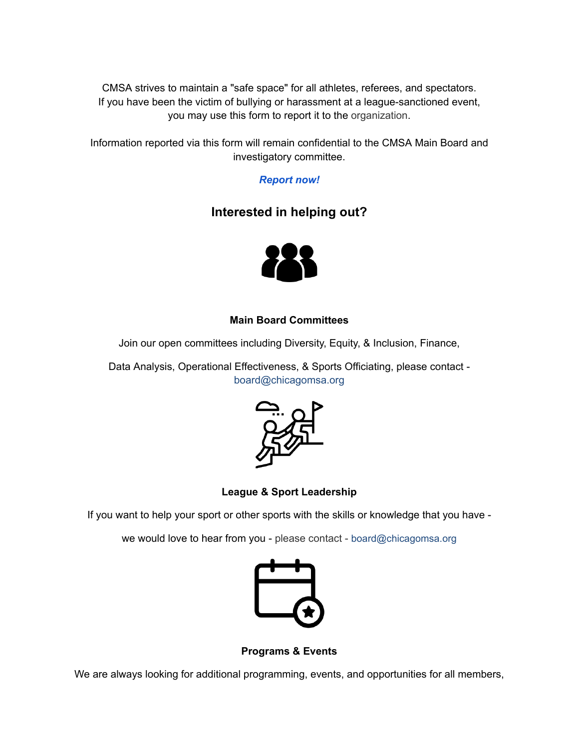CMSA strives to maintain a "safe space" for all athletes, referees, and spectators. If you have been the victim of bullying or harassment at a league-sanctioned event, you may use this form to report it to the organization.

Information reported via this form will remain confidential to the CMSA Main Board and investigatory committee.

*[Report](http://mail.leagueapps.com/ls/click?upn=MVIlbWCJOi-2BpuxXFSbrwKZM90dyFmL3u15ofuldVA-2FNqeK7G9Xq9MRbp54wa39r-2Fp9a2_GptQX16N64WwKT5la58D1o53JZtVOKau-2Funfl11YtMSzjneJ9njScjouj-2F8KtHmMtypc-2B5lfpzYwl0-2BRYD-2FAsSgRYxV80H8cwHhHY53tkggAY126NAiDxmZtCESB4EpkS93MSo2mpmAP0UJpGKLatRP6uZi-2Fg9xY24he-2BZDHcOSvRevT1PfUEZ3RRp3VeTJfuAua6om5Gai1GLeiGVagr2AP1PBDgCTHdbzXcVObeHEKthxy3i5cBceYCey6iTGrjNEuMwL-2FUiQbFgTPkpmsok-2BFV33bZY-2FHrLyqZNzUzkYOkvYjS-2Fns0Hx6v2XOhd-2BaU9IK0EL1B80U8I1uCO1Os4rte4okGDs8DSl3ojnV6k97NrSIIOcoXrDQL7iq8d4QxYodK6xPCmLcOUT7Zf0wfzEud0c3xMoixrArQQbyDis0yyvhFvPf6n3I7LnHY6QOWJupGxfBh24zI0e79ypoBsJSWBnYNntrl4e9ZRb6Ed3RPnQX5PvhN1zdslrgECFsj6p8VHs2cts8o05LUXj4L-2Bo9SXoQzjjvHksWUwv8ukc-3D) now!*

## **Interested in helping out?**



#### **Main Board Committees**

Join our open committees including Diversity, Equity, & Inclusion, Finance,

Data Analysis, Operational Effectiveness, & Sports Officiating, please contact board@chicagomsa.org



### **League & Sport Leadership**

If you want to help your sport or other sports with the skills or knowledge that you have -

we would love to hear from you - please contact - board@chicagomsa.org



**Programs & Events**

We are always looking for additional programming, events, and opportunities for all members,